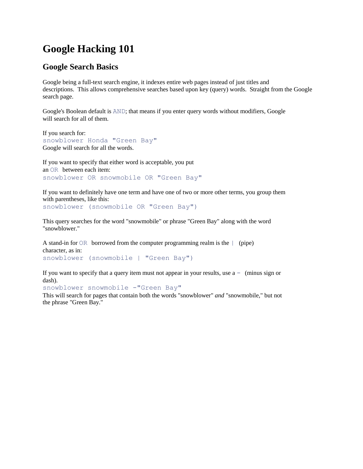# **Google Hacking 101**

## **Google Search Basics**

Google being a full-text search engine, it indexes entire web pages instead of just titles and descriptions. This allows comprehensive searches based upon key (query) words. Straight from the Google search page.

Google's Boolean default is AND; that means if you enter query words without modifiers, Google will search for all of them.

If you search for: snowblower Honda "Green Bay" Google will search for all the words.

If you want to specify that either word is acceptable, you put an OR between each item: snowblower OR snowmobile OR "Green Bay"

If you want to definitely have one term and have one of two or more other terms, you group them with parentheses, like this: snowblower (snowmobile OR "Green Bay")

This query searches for the word "snowmobile" or phrase "Green Bay" along with the word "snowblower."

A stand-in for OR borrowed from the computer programming realm is the | (pipe) character, as in: snowblower (snowmobile | "Green Bay")

If you want to specify that a query item must not appear in your results, use  $a - ($ minus sign or dash).

snowblower snowmobile -"Green Bay"

This will search for pages that contain both the words "snowblower" *and* "snowmobile," but not the phrase "Green Bay."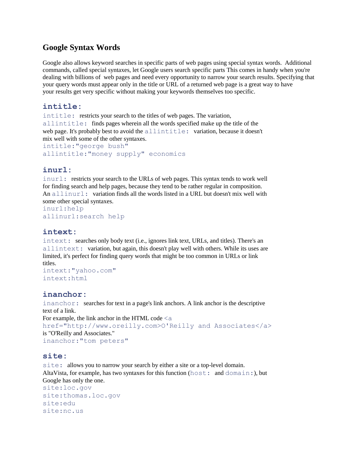## **Google Syntax Words**

Google also allows keyword searches in specific parts of web pages using special syntax words. Additional commands, called special syntaxes, let Google users search specific parts This comes in handy when you're dealing with billions of web pages and need every opportunity to narrow your search results. Specifying that your query words must appear only in the title or URL of a returned web page is a great way to have your results get very specific without making your keywords themselves too specific.

## **intitle:**

intitle: restricts your search to the titles of web pages. The variation, allintitle: finds pages wherein all the words specified make up the title of the web page. It's probably best to avoid the allintitle: variation, because it doesn't mix well with some of the other syntaxes.

intitle:"george bush" allintitle:"money supply" economics

## **inurl:**

inurl: restricts your search to the URLs of web pages. This syntax tends to work well for finding search and help pages, because they tend to be rather regular in composition. An allinurl: variation finds all the words listed in a URL but doesn't mix well with some other special syntaxes.

inurl:help allinurl:search help

## **intext:**

intext: searches only body text (i.e., ignores link text, URLs, and titles). There's an  $allintext:$  variation, but again, this doesn't play well with others. While its uses are limited, it's perfect for finding query words that might be too common in URLs or link titles.

intext:"yahoo.com" intext:html

## **inanchor:**

 $\text{inanchoer}:$  searches for text in a page's link anchors. A link anchor is the descriptive text of a link. For example, the link anchor in the HTML code  $\leq a$ href="http://www.oreilly.com>O'Reilly and Associates</a> is "O'Reilly and Associates." inanchor:"tom peters"

#### **site:**

site: allows you to narrow your search by either a site or a top-level domain. AltaVista, for example, has two syntaxes for this function (host: and domain:), but Google has only the one. site:loc.gov site:thomas.loc.gov site:edu site:nc.us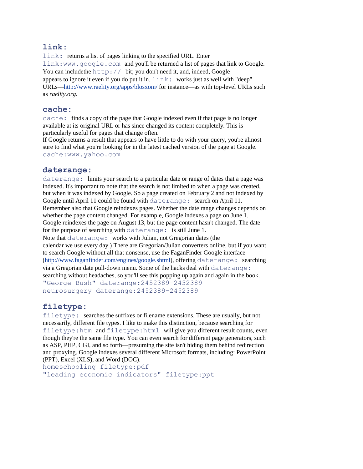## **link:**

link: returns a list of pages linking to the specified URL. Enter link: www.google.com and you'll be returned a list of pages that link to Google. You can include the http:// bit; you don't need it, and, indeed, Google appears to ignore it even if you do put it in.  $\text{link}$ : works just as well with "deep" URLs—http://www.raelity.org/apps/blosxom/ for instance—as with top-level URLs such as *raelity.org*.

#### **cache:**

cache: finds a copy of the page that Google indexed even if that page is no longer available at its original URL or has since changed its content completely. This is particularly useful for pages that change often.

If Google returns a result that appears to have little to do with your query, you're almost sure to find what you're looking for in the latest cached version of the page at Google. cache:www.yahoo.com

#### **daterange:**

daterange: limits your search to a particular date or range of dates that a page was indexed. It's important to note that the search is not limited to when a page was created, but when it was indexed by Google. So a page created on February 2 and not indexed by Google until April 11 could be found with daterange: search on April 11. Remember also that Google reindexes pages. Whether the date range changes depends on whether the page content changed. For example, Google indexes a page on June 1. Google reindexes the page on August 13, but the page content hasn't changed. The date for the purpose of searching with daterange: is still June 1. Note that daterange: works with Julian, not Gregorian dates (the calendar we use every day.) There are Gregorian/Julian converters online, but if you want to search Google without all that nonsense, use the FaganFinder Google interface (http://www.faganfinder.com/engines/google.shtml), offering daterange: searching via a Gregorian date pull-down menu. Some of the hacks deal with daterange: searching without headaches, so you'll see this popping up again and again in the book. "George Bush" daterange:2452389-2452389

neurosurgery daterange:2452389-2452389

## **filetype:**

filetype: searches the suffixes or filename extensions. These are usually, but not necessarily, different file types. I like to make this distinction, because searching for filetype:htm and filetype:html will give you different result counts, even though they're the same file type. You can even search for different page generators, such as ASP, PHP, CGI, and so forth—presuming the site isn't hiding them behind redirection and proxying. Google indexes several different Microsoft formats, including: PowerPoint (PPT), Excel (XLS), and Word (DOC).

homeschooling filetype:pdf "leading economic indicators" filetype:ppt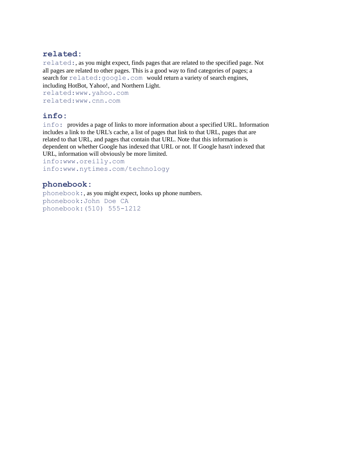## **related:**

related:, as you might expect, finds pages that are related to the specified page. Not all pages are related to other pages. This is a good way to find categories of pages; a search for related: google.com would return a variety of search engines, including HotBot, Yahoo!, and Northern Light. related:www.yahoo.com related:www.cnn.com

## **info:**

info: provides a page of links to more information about a specified URL. Information includes a link to the URL's cache, a list of pages that link to that URL, pages that are related to that URL, and pages that contain that URL. Note that this information is dependent on whether Google has indexed that URL or not. If Google hasn't indexed that URL, information will obviously be more limited.

info:www.oreilly.com info:www.nytimes.com/technology

## **phonebook:**

phonebook:, as you might expect, looks up phone numbers. phonebook:John Doe CA phonebook:(510) 555-1212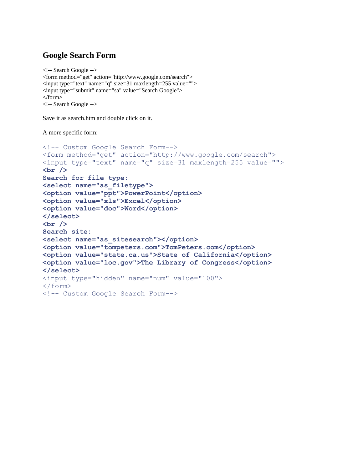## **Google Search Form**

```
<!-- Search Google -->
<form method="get" action="http://www.google.com/search">
<input type="text" name="q" size=31 maxlength=255 value="">
<input type="submit" name="sa" value="Search Google">
</form>
<!-- Search Google -->
```
Save it as search.htm and double click on it.

A more specific form:

```
<!-- Custom Google Search Form-->
<form method="get" action="http://www.google.com/search">
<input type="text" name="q" size=31 maxlength=255 value="">
<br />
Search for file type:
<select name="as_filetype">
<option value="ppt">PowerPoint</option>
<option value="xls">Excel</option>
<option value="doc">Word</option>
</select>
<br />
Search site:
<select name="as_sitesearch"></option>
<option value="tompeters.com">TomPeters.com</option>
<option value="state.ca.us">State of California</option>
<option value="loc.gov">The Library of Congress</option>
</select>
<input type="hidden" name="num" value="100">
</form>
<!-- Custom Google Search Form-->
```